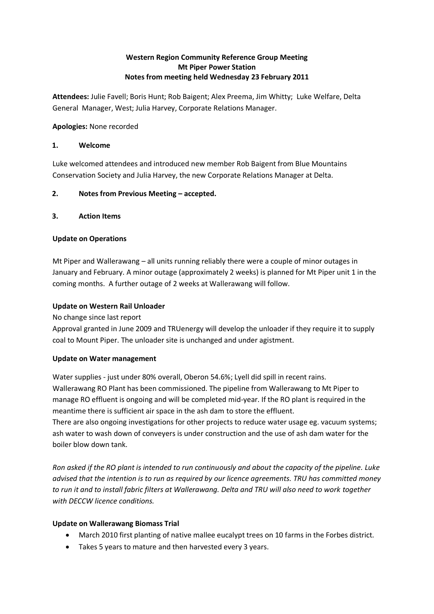# **Western Region Community Reference Group Meeting Mt Piper Power Station Notes from meeting held Wednesday 23 February 2011**

**Attendees:** Julie Favell; Boris Hunt; Rob Baigent; Alex Preema, Jim Whitty; Luke Welfare, Delta General Manager, West; Julia Harvey, Corporate Relations Manager.

**Apologies:** None recorded

### **1. Welcome**

Luke welcomed attendees and introduced new member Rob Baigent from Blue Mountains Conservation Society and Julia Harvey, the new Corporate Relations Manager at Delta.

## **2. Notes from Previous Meeting – accepted.**

### **3. Action Items**

### **Update on Operations**

Mt Piper and Wallerawang – all units running reliably there were a couple of minor outages in January and February. A minor outage (approximately 2 weeks) is planned for Mt Piper unit 1 in the coming months. A further outage of 2 weeks at Wallerawang will follow.

### **Update on Western Rail Unloader**

No change since last report

Approval granted in June 2009 and TRUenergy will develop the unloader if they require it to supply coal to Mount Piper. The unloader site is unchanged and under agistment.

#### **Update on Water management**

boiler blow down tank.

Water supplies - just under 80% overall, Oberon 54.6%; Lyell did spill in recent rains. Wallerawang RO Plant has been commissioned. The pipeline from Wallerawang to Mt Piper to manage RO effluent is ongoing and will be completed mid-year. If the RO plant is required in the meantime there is sufficient air space in the ash dam to store the effluent. There are also ongoing investigations for other projects to reduce water usage eg. vacuum systems; ash water to wash down of conveyers is under construction and the use of ash dam water for the

*Ron asked if the RO plant is intended to run continuously and about the capacity of the pipeline. Luke advised that the intention is to run as required by our licence agreements. TRU has committed money to run it and to install fabric filters at Wallerawang. Delta and TRU will also need to work together with DECCW licence conditions.* 

#### **Update on Wallerawang Biomass Trial**

- March 2010 first planting of native mallee eucalypt trees on 10 farms in the Forbes district.
- Takes 5 years to mature and then harvested every 3 years.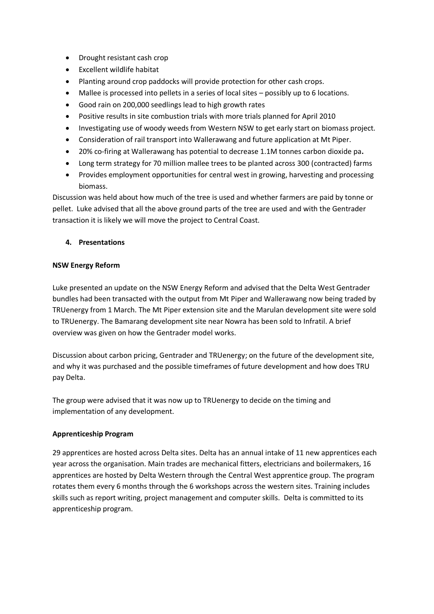- Drought resistant cash crop
- Excellent wildlife habitat
- Planting around crop paddocks will provide protection for other cash crops.
- Mallee is processed into pellets in a series of local sites possibly up to 6 locations.
- Good rain on 200,000 seedlings lead to high growth rates
- Positive results in site combustion trials with more trials planned for April 2010
- Investigating use of woody weeds from Western NSW to get early start on biomass project.
- Consideration of rail transport into Wallerawang and future application at Mt Piper.
- 20% co-firing at Wallerawang has potential to decrease 1.1M tonnes carbon dioxide pa**.**
- Long term strategy for 70 million mallee trees to be planted across 300 (contracted) farms
- Provides employment opportunities for central west in growing, harvesting and processing biomass.

Discussion was held about how much of the tree is used and whether farmers are paid by tonne or pellet. Luke advised that all the above ground parts of the tree are used and with the Gentrader transaction it is likely we will move the project to Central Coast.

## **4. Presentations**

## **NSW Energy Reform**

Luke presented an update on the NSW Energy Reform and advised that the Delta West Gentrader bundles had been transacted with the output from Mt Piper and Wallerawang now being traded by TRUenergy from 1 March. The Mt Piper extension site and the Marulan development site were sold to TRUenergy. The Bamarang development site near Nowra has been sold to Infratil. A brief overview was given on how the Gentrader model works.

Discussion about carbon pricing, Gentrader and TRUenergy; on the future of the development site, and why it was purchased and the possible timeframes of future development and how does TRU pay Delta.

The group were advised that it was now up to TRUenergy to decide on the timing and implementation of any development.

## **Apprenticeship Program**

29 apprentices are hosted across Delta sites. Delta has an annual intake of 11 new apprentices each year across the organisation. Main trades are mechanical fitters, electricians and boilermakers, 16 apprentices are hosted by Delta Western through the Central West apprentice group. The program rotates them every 6 months through the 6 workshops across the western sites. Training includes skills such as report writing, project management and computer skills. Delta is committed to its apprenticeship program.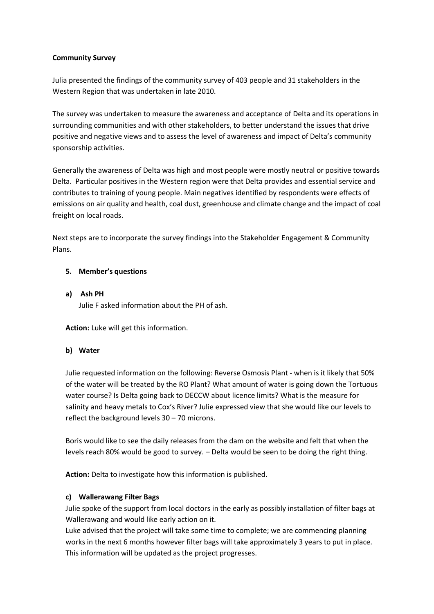### **Community Survey**

Julia presented the findings of the community survey of 403 people and 31 stakeholders in the Western Region that was undertaken in late 2010.

The survey was undertaken to measure the awareness and acceptance of Delta and its operations in surrounding communities and with other stakeholders, to better understand the issues that drive positive and negative views and to assess the level of awareness and impact of Delta's community sponsorship activities.

Generally the awareness of Delta was high and most people were mostly neutral or positive towards Delta. Particular positives in the Western region were that Delta provides and essential service and contributes to training of young people. Main negatives identified by respondents were effects of emissions on air quality and health, coal dust, greenhouse and climate change and the impact of coal freight on local roads.

Next steps are to incorporate the survey findings into the Stakeholder Engagement & Community Plans.

### **5. Member's questions**

**a) Ash PH**  Julie F asked information about the PH of ash.

**Action:** Luke will get this information.

#### **b) Water**

Julie requested information on the following: Reverse Osmosis Plant - when is it likely that 50% of the water will be treated by the RO Plant? What amount of water is going down the Tortuous water course? Is Delta going back to DECCW about licence limits? What is the measure for salinity and heavy metals to Cox's River? Julie expressed view that she would like our levels to reflect the background levels 30 – 70 microns.

Boris would like to see the daily releases from the dam on the website and felt that when the levels reach 80% would be good to survey. – Delta would be seen to be doing the right thing.

**Action:** Delta to investigate how this information is published.

#### **c) Wallerawang Filter Bags**

Julie spoke of the support from local doctors in the early as possibly installation of filter bags at Wallerawang and would like early action on it.

Luke advised that the project will take some time to complete; we are commencing planning works in the next 6 months however filter bags will take approximately 3 years to put in place. This information will be updated as the project progresses.